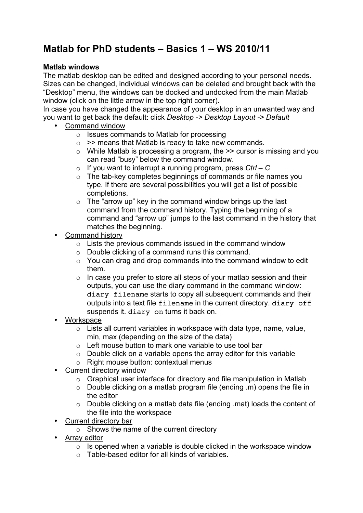# **Matlab for PhD students – Basics 1 – WS 2010/11**

# **Matlab windows**

The matlab desktop can be edited and designed according to your personal needs. Sizes can be changed, individual windows can be deleted and brought back with the "Desktop" menu, the windows can be docked and undocked from the main Matlab window (click on the little arrow in the top right corner).

In case you have changed the appearance of your desktop in an unwanted way and you want to get back the default: click *Desktop -> Desktop Layout -> Default*

- Command window
	- o Issues commands to Matlab for processing
	- $\circ$  >> means that Matlab is ready to take new commands.
	- $\circ$  While Matlab is processing a program, the  $\geq$  cursor is missing and you can read "busy" below the command window.
	- o If you want to interrupt a running program, press *Ctrl C*
	- o The tab-key completes beginnings of commands or file names you type. If there are several possibilities you will get a list of possible completions.
	- $\circ$  The "arrow up" key in the command window brings up the last command from the command history. Typing the beginning of a command and "arrow up" jumps to the last command in the history that matches the beginning.
	- Command history
		- $\circ$  Lists the previous commands issued in the command window
		- o Double clicking of a command runs this command.
		- $\circ$  You can drag and drop commands into the command window to edit them.
		- $\circ$  In case you prefer to store all steps of your matlab session and their outputs, you can use the diary command in the command window: diary filename starts to copy all subsequent commands and their outputs into a text file filename in the current directory. diary off suspends it. diary on turns it back on.
- **Workspace** 
	- o Lists all current variables in workspace with data type, name, value, min, max (depending on the size of the data)
	- $\circ$  Left mouse button to mark one variable to use tool bar
	- $\circ$  Double click on a variable opens the array editor for this variable
	- o Right mouse button: contextual menus
- Current directory window
	- o Graphical user interface for directory and file manipulation in Matlab
	- o Double clicking on a matlab program file (ending .m) opens the file in the editor
	- o Double clicking on a matlab data file (ending .mat) loads the content of the file into the workspace
- Current directory bar
	- o Shows the name of the current directory
- Array editor
	- $\circ$  Is opened when a variable is double clicked in the workspace window
	- o Table-based editor for all kinds of variables.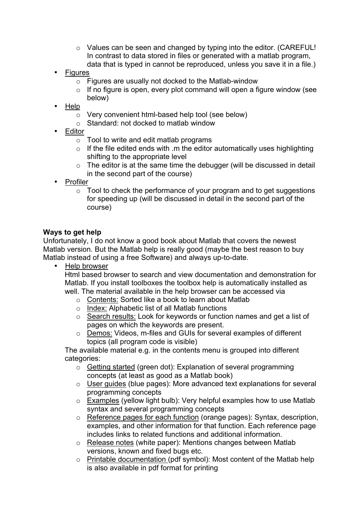- o Values can be seen and changed by typing into the editor. (CAREFUL! In contrast to data stored in files or generated with a matlab program, data that is typed in cannot be reproduced, unless you save it in a file.)
- **Figures** 
	- o Figures are usually not docked to the Matlab-window
	- $\circ$  If no figure is open, every plot command will open a figure window (see below)
- Help
	- o Very convenient html-based help tool (see below)
	- o Standard: not docked to matlab window
- **Editor** 
	- $\circ$  Tool to write and edit matlab programs
	- $\circ$  If the file edited ends with .m the editor automatically uses highlighting shifting to the appropriate level
	- $\circ$  The editor is at the same time the debugger (will be discussed in detail in the second part of the course)
- Profiler
	- $\circ$  Tool to check the performance of your program and to get suggestions for speeding up (will be discussed in detail in the second part of the course)

# **Ways to get help**

Unfortunately, I do not know a good book about Matlab that covers the newest Matlab version. But the Matlab help is really good (maybe the best reason to buy Matlab instead of using a free Software) and always up-to-date.

• Help browser

Html based browser to search and view documentation and demonstration for Matlab. If you install toolboxes the toolbox help is automatically installed as well. The material available in the help browser can be accessed via

- o Contents: Sorted like a book to learn about Matlab
- o Index: Alphabetic list of all Matlab functions
- o Search results: Look for keywords or function names and get a list of pages on which the keywords are present.
- o Demos: Videos, m-files and GUIs for several examples of different topics (all program code is visible)

The available material e.g. in the contents menu is grouped into different categories:

- o Getting started (green dot): Explanation of several programming concepts (at least as good as a Matlab book)
- o User guides (blue pages): More advanced text explanations for several programming concepts
- o Examples (yellow light bulb): Very helpful examples how to use Matlab syntax and several programming concepts
- o Reference pages for each function (orange pages): Syntax, description, examples, and other information for that function. Each reference page includes links to related functions and additional information.
- o Release notes (white paper): Mentions changes between Matlab versions, known and fixed bugs etc.
- o Printable documentation (pdf symbol): Most content of the Matlab help is also available in pdf format for printing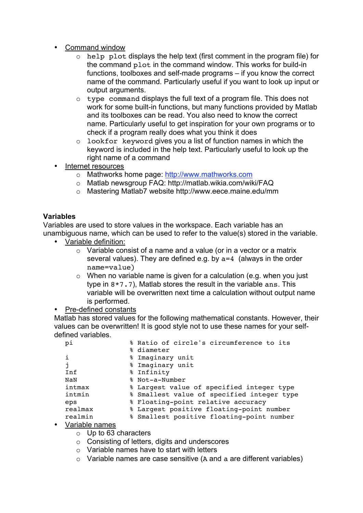- Command window
	- o help plot displays the help text (first comment in the program file) for the command plot in the command window. This works for build-in functions, toolboxes and self-made programs – if you know the correct name of the command. Particularly useful if you want to look up input or output arguments.
	- o type command displays the full text of a program file. This does not work for some built-in functions, but many functions provided by Matlab and its toolboxes can be read. You also need to know the correct name. Particularly useful to get inspiration for your own programs or to check if a program really does what you think it does
	- o lookfor keyword gives you a list of function names in which the keyword is included in the help text. Particularly useful to look up the right name of a command
- Internet resources
	- o Mathworks home page: http://www.mathworks.com
	- o Matlab newsgroup FAQ: http://matlab.wikia.com/wiki/FAQ
	- o Mastering Matlab7 website http://www.eece.maine.edu/mm

# **Variables**

Variables are used to store values in the workspace. Each variable has an unambiguous name, which can be used to refer to the value(s) stored in the variable.

- Variable definition:
	- o Variable consist of a name and a value (or in a vector or a matrix several values). They are defined e.g. by a=4 (always in the order name=value)
	- $\circ$  When no variable name is given for a calculation (e.g. when you just type in 8\*7.7), Matlab stores the result in the variable ans. This variable will be overwritten next time a calculation without output name is performed.

# • Pre-defined constants

Matlab has stored values for the following mathematical constants. However, their values can be overwritten! It is good style not to use these names for your selfdefined variables.

| pi             | % Ratio of circle's circumference to its   |
|----------------|--------------------------------------------|
|                | % diameter                                 |
| i              | % Imaginary unit                           |
| j.             | % Imaginary unit                           |
| Inf            | % Infinity                                 |
| NaN            | % Not-a-Number                             |
| intmax         | % Largest value of specified integer type  |
| intmin         | % Smallest value of specified integer type |
| eps            | % Floating-point relative accuracy         |
| realmax        | % Largest positive floating-point number   |
| realmin        | % Smallest positive floating-point number  |
| $\overline{1}$ |                                            |

#### • Variable names

o Up to 63 characters

- o Consisting of letters, digits and underscores
- $\circ$  Variable names have to start with letters
- $\circ$  Variable names are case sensitive (A and a are different variables)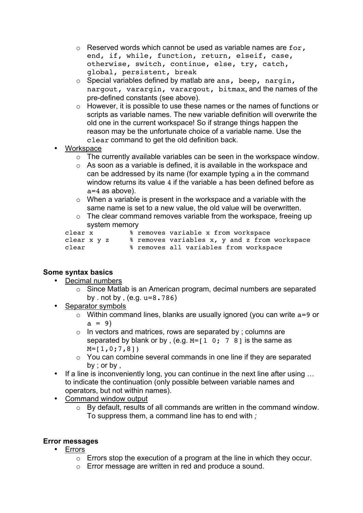- $\circ$  Reserved words which cannot be used as variable names are for, end, if, while, function, return, elseif, case, otherwise, switch, continue, else, try, catch, global, persistent, break
- o Special variables defined by matlab are ans, beep, nargin, nargout, varargin, varargout, bitmax, and the names of the pre-defined constants (see above).
- o However, it is possible to use these names or the names of functions or scripts as variable names. The new variable definition will overwrite the old one in the current workspace! So if strange things happen the reason may be the unfortunate choice of a variable name. Use the clear command to get the old definition back.
- **Workspace** 
	- o The currently available variables can be seen in the workspace window.
	- o As soon as a variable is defined, it is available in the workspace and can be addressed by its name (for example typing a in the command window returns its value 4 if the variable a has been defined before as a=4 as above).
	- $\circ$  When a variable is present in the workspace and a variable with the same name is set to a new value, the old value will be overwritten.
	- $\circ$  The clear command removes variable from the workspace, freeing up system memory

| clear x     |  |  | % removes variable x from workspace           |
|-------------|--|--|-----------------------------------------------|
| clear x y z |  |  | % removes variables x, y and z from workspace |
| clear       |  |  | % removes all variables from workspace        |

# **Some syntax basics**

- Decimal numbers
	- o Since Matlab is an American program, decimal numbers are separated by . not by ,  $(e.q. u=8.786)$
- Separator symbols
	- $\circ$  Within command lines, blanks are usually ignored (you can write  $a=9$  or  $a = 9$ )
	- o In vectors and matrices, rows are separated by ; columns are separated by blank or by, (e.g.  $M=[1 \ 0; \ 7 \ 8]$  is the same as  $M=[1,0;7,8]$
	- o You can combine several commands in one line if they are separated by ; or by ,
- If a line is inconveniently long, you can continue in the next line after using ... to indicate the continuation (only possible between variable names and operators, but not within names).
- Command window output
	- $\overline{\circ}$  By default, results of all commands are written in the command window. To suppress them, a command line has to end with *;*

#### **Error messages**

- Errors
	- $\circ$  Errors stop the execution of a program at the line in which they occur.
	- o Error message are written in red and produce a sound.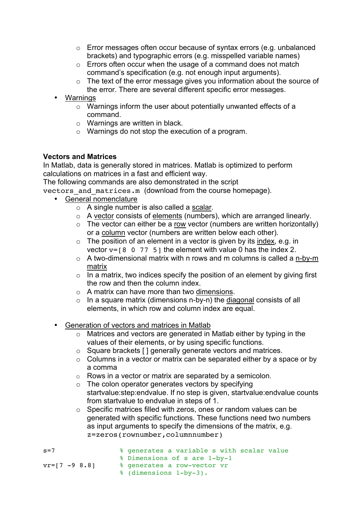- o Error messages often occur because of syntax errors (e.g. unbalanced brackets) and typographic errors (e.g. misspelled variable names)
- o Errors often occur when the usage of a command does not match command's specification (e.g. not enough input arguments).
- o The text of the error message gives you information about the source of the error. There are several different specific error messages.
- Warnings
	- o Warnings inform the user about potentially unwanted effects of a command.
	- o Warnings are written in black.
	- o Warnings do not stop the execution of a program.

## **Vectors and Matrices**

In Matlab, data is generally stored in matrices. Matlab is optimized to perform calculations on matrices in a fast and efficient way.

The following commands are also demonstrated in the script

vectors and matrices.m (download from the course homepage).

- General nomenclature
	- o A single number is also called a scalar.
	- o A vector consists of elements (numbers), which are arranged linearly.
	- $\circ$  The vector can either be a row vector (numbers are written horizontally) or a column vector (numbers are written below each other).
	- $\circ$  The position of an element in a vector is given by its index, e.g. in vector  $v=$ [8 0 77 5] the element with value 0 has the index 2.
	- o A two-dimensional matrix with n rows and m columns is called a n-by-m matrix
	- $\circ$  In a matrix, two indices specify the position of an element by giving first the row and then the column index.
	- $\circ$  A matrix can have more than two dimensions.
	- $\circ$  In a square matrix (dimensions n-by-n) the diagonal consists of all elements, in which row and column index are equal.
	- Generation of vectors and matrices in Matlab
		- o Matrices and vectors are generated in Matlab either by typing in the values of their elements, or by using specific functions.
		- o Square brackets [ ] generally generate vectors and matrices.
		- $\circ$  Columns in a vector or matrix can be separated either by a space or by a comma
		- $\circ$  Rows in a vector or matrix are separated by a semicolon.
		- $\circ$  The colon operator generates vectors by specifying startvalue:step:endvalue. If no step is given, startvalue:endvalue counts from startvalue to endvalue in steps of 1.
		- o Specific matrices filled with zeros, ones or random values can be generated with specific functions. These functions need two numbers as input arguments to specify the dimensions of the matrix, e.g. z=zeros(rownumber,columnnumber)
- s=7 % generates a variable s with scalar value % Dimensions of s are 1-by-1 vr=[7 -9 8.8] % generates a row-vector vr % (dimensions 1-by-3).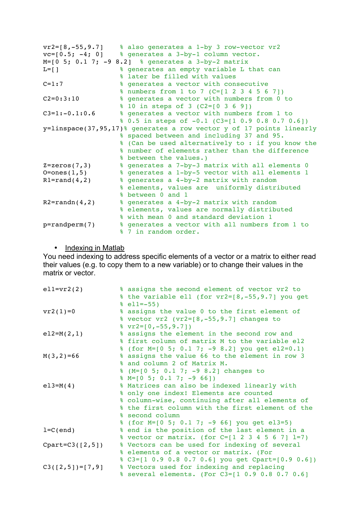| $vr2=[8,-55,9.7]$ | % also generates a 1-by 3 row-vector vr2                             |
|-------------------|----------------------------------------------------------------------|
| $vc=[0.5; -4; 0]$ | % generates a 3-by-1 column vector.                                  |
|                   | $M=[0 5; 0.1 7; -9 8.2]$ % generates a 3-by-2 matrix                 |
| $L=[]$            | % generates an empty variable L that can                             |
|                   | % later be filled with values                                        |
| $C = 1:7$         | % generates a vector with consecutive                                |
|                   | % numbers from 1 to 7 (C=[1 2 3 4 5 6 7])                            |
| $C2=0:3:10$       | % generates a vector with numbers from 0 to                          |
|                   | % 10 in steps of 3 (C2=[0 3 6 9])                                    |
| $C3=1:-0.1:0.6$   | % generates a vector with numbers from 1 to                          |
|                   | % 0.5 in steps of -0.1 (C3=[1 0.9 0.8 0.7 0.6])                      |
|                   | y=linspace(37,95,17)% generates a row vector y of 17 points linearly |
|                   | % spaced between and including 37 and 95.                            |
|                   | % (Can be used alternatively to : if you know the                    |
|                   | & number of elements rather than the difference                      |
|                   | % between the values.)                                               |
| $Z = zeros(7, 3)$ | % generates a 7-by-3 matrix with all elements 0                      |
| $O = ones(1, 5)$  | % generates a 1-by-5 vector with all elements 1                      |
| $R1 = rand(4, 2)$ | % generates a 4-by-2 matrix with random                              |
|                   | % elements, values are uniformly distributed                         |
|                   | % between 0 and 1                                                    |
| $R2 = randn(4,2)$ | % generates a 4-by-2 matrix with random                              |
|                   | % elements, values are normally distributed                          |
|                   | % with mean 0 and standard deviation 1                               |
| $p$ =randperm(7)  | % generates a vector with all numbers from 1 to                      |
|                   | % 7 in random order.                                                 |

• Indexing in Matlab

You need indexing to address specific elements of a vector or a matrix to either read their values (e.g. to copy them to a new variable) or to change their values in the matrix or vector.

| $ell=vr2(2)$        | % assigns the second element of vector vr2 to     |
|---------------------|---------------------------------------------------|
|                     | % the variable ell (for $vr2=[8,-55,9.7]$ you get |
|                     | $\text{ell} = -55$ )                              |
| $vr2(1)=0$          | % assigns the value 0 to the first element of     |
|                     | % vector vr2 (vr2=[8,-55,9.7] changes to          |
|                     | $\sqrt{2}$ vr2=[0, -55, 9.7])                     |
| $e12=M(2,1)$        | % assigns the element in the second row and       |
|                     | % first column of matrix M to the variable el2    |
|                     | % (for M=[0 5; 0.1 7; -9 8.2] you get el2=0.1)    |
| $M(3, 2) = 66$      | % assigns the value 66 to the element in row 3    |
|                     | % and column 2 of Matrix M.                       |
|                     | % (M=[0 5; 0.1 7; -9 8.2] changes to              |
|                     | $\text{\%}$ M=[0 5; 0.1 7; -9 66])                |
| $e13=M(4)$          | % Matrices can also be indexed linearly with      |
|                     | % only one index! Elements are counted            |
|                     | % column-wise, continuing after all elements of   |
|                     | % the first column with the first element of the  |
|                     | % second column                                   |
|                     | % (for M=[0 5; 0.1 7; -9 66] you get el3=5)       |
| $l=C$ (end)         | % end is the position of the last element in a    |
|                     | % vector or matrix. (for C=[1 2 3 4 5 6 7] 1=7)   |
| $Cpart = C3([2,5])$ | % Vectors can be used for indexing of several     |
|                     | % elements of a vector or matrix. (For            |
|                     | % C3=[1 0.9 0.8 0.7 0.6] you get Cpart=[0.9 0.6]) |
| $C3([2,5])=[7,9]$   | % Vectors used for indexing and replacing         |
|                     | % several elements. (For C3=[1 0.9 0.8 0.7 0.6]   |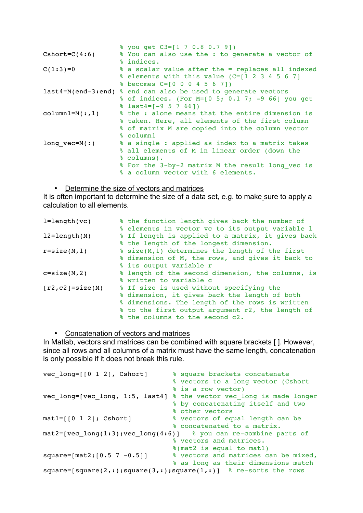|                  | % you get C3=[1 7 0.8 0.7 9])                                 |
|------------------|---------------------------------------------------------------|
| $Cshort=C(4:6)$  | % You can also use the : to generate a vector of              |
|                  | % indices.                                                    |
| $C(1:3)=0$       | % a scalar value after the = replaces all indexed             |
|                  | % elements with this value (C=[1 2 3 4 5 6 7]                 |
|                  | % becomes C=[0 0 0 4 5 6 7])                                  |
|                  | last4=M(end-3:end) % end can also be used to generate vectors |
|                  | % of indices. (For M=[0 5; 0.1 7; -9 66] you get              |
|                  | $\text{\$}$ last4=[-9 5 7 66])                                |
| $column1=M(:,1)$ | % the: alone means that the entire dimension is               |
|                  | % taken. Here, all elements of the first column               |
|                  | % of matrix M are copied into the column vector               |
|                  | $\frac{2}{2}$ column1                                         |
| long $vec=M(:)$  | % a single : applied as index to a matrix takes               |
|                  | % all elements of M in linear order (down the                 |
|                  | % columns).                                                   |
|                  | % For the 3-by-2 matrix M the result long vec is              |
|                  | & a column vector with 6 elements.                            |

• Determine the size of vectors and matrices

It is often important to determine the size of a data set, e.g. to make sure to apply a calculation to all elements.

| $l = length(vc)$    | % the function length gives back the number of    |
|---------------------|---------------------------------------------------|
|                     | % elements in vector vc to its output variable 1  |
| $l2 = length(M)$    | % If length is applied to a matrix, it gives back |
|                     | % the length of the longest dimension.            |
| $r = size(M, 1)$    | % size(M,1) determines the length of the first    |
|                     | % dimension of M, the rows, and gives it back to  |
|                     | % its output variable r                           |
| $c = size(M, 2)$    | % length of the second dimension, the columns, is |
|                     | % written to variable c                           |
| $[r2, c2]$ =size(M) | % If size is used without specifying the          |
|                     | % dimension, it gives back the length of both     |
|                     | % dimensions. The length of the rows is written   |
|                     | % to the first output argument r2, the length of  |
|                     | % the columns to the second c2.                   |

• Concatenation of vectors and matrices

In Matlab, vectors and matrices can be combined with square brackets [ ]. However, since all rows and all columns of a matrix must have the same length, concatenation is only possible if it does not break this rule.

| $vec\_long=[[0 1 2], Cshort]$           | % square brackets concatenate                                        |
|-----------------------------------------|----------------------------------------------------------------------|
|                                         | % vectors to a long vector (Cshort                                   |
|                                         | % is a row vector)                                                   |
|                                         | vec long=[vec long, 1:5, last4] % the vector vec long is made longer |
|                                         | % by concatenating itself and two                                    |
|                                         | % other vectors                                                      |
| $mat1=[0 1 2];$ Cshort]                 | % vectors of equal length can be                                     |
|                                         | & concatenated to a matrix.                                          |
| $mat2 = [vec long(1:3); vec long(4:6)]$ | % you can re-combine parts of                                        |
|                                         | % vectors and matrices.                                              |
|                                         | %(mat2 is equal to mat1)                                             |
| $square=[mat2; [0.5 7 -0.5]]$           | % vectors and matrices can be mixed,                                 |
|                                         | % as long as their dimensions match                                  |
|                                         | $square=[square(2,:);square(3,:);square(1,:)]$ & re-sorts the rows   |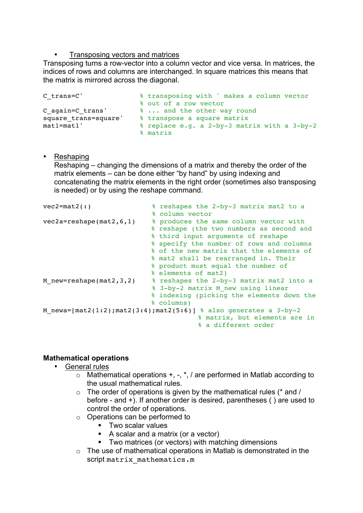## **Transposing vectors and matrices**

Transposing turns a row-vector into a column vector and vice versa. In matrices, the indices of rows and columns are interchanged. In square matrices this means that the matrix is mirrored across the diagonal.

```
C_trans=C' % transposing with ' makes a column vector 
% out of a row vector<br>C again=C trans' % ... and the other wa
                      8 ... and the other way round
square_trans=square' % transpose a square matrix
mat1=mat1' % replace e.g. a 2-by-3 matrix with a 3-by-2 
                        % matrix
```
#### • Reshaping

Reshaping – changing the dimensions of a matrix and thereby the order of the matrix elements – can be done either "by hand" by using indexing and concatenating the matrix elements in the right order (sometimes also transposing is needed) or by using the reshape command.

| $vec2 = mat2$ (:)             | % reshapes the 2-by-3 matrix mat2 to a<br>% column vector                                                                                                                                                                                                                                      |
|-------------------------------|------------------------------------------------------------------------------------------------------------------------------------------------------------------------------------------------------------------------------------------------------------------------------------------------|
| $vec2a =$ reshape(mat2,6,1)   | % produces the same column vector with<br>% reshape (the two numbers as second and<br>% third input arguments of reshape<br>% specify the number of rows and columns<br>% of the new matrix that the elements of<br>% mat2 shall be rearranged in. Their<br>% product must equal the number of |
| M new=reshape( $mat2, 3, 2$ ) | % elements of mat2)<br>% reshapes the 2-by-3 matrix mat2 into a<br>% 3-by-2 matrix M new using linear<br>% indexing (picking the elements down the<br>% columns)                                                                                                                               |
|                               | M newa=[mat2(1:2); mat2(3:4); mat2(5:6)] % also generates a $3-by-2$<br>% matrix, but elements are in<br>% a different order                                                                                                                                                                   |

# **Mathematical operations**

- General rules
	- $\circ$  Mathematical operations +, -,  $\dot{a}$ , are performed in Matlab according to the usual mathematical rules.
	- $\circ$  The order of operations is given by the mathematical rules (\* and / before - and +). If another order is desired, parentheses ( ) are used to control the order of operations.
	- o Operations can be performed to
		- **Two scalar values**
		- A scalar and a matrix (or a vector)
		- **Two matrices (or vectors) with matching dimensions**
	- $\circ$  The use of mathematical operations in Matlab is demonstrated in the script matrix mathematics.m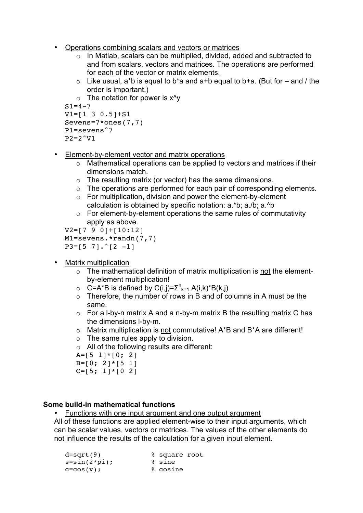- Operations combining scalars and vectors or matrices
	- o In Matlab, scalars can be multiplied, divided, added and subtracted to and from scalars, vectors and matrices. The operations are performed for each of the vector or matrix elements.
	- $\circ$  Like usual, a\*b is equal to b\*a and a+b equal to b+a. (But for and / the order is important.)

```
\circ The notation for power is x^yS1 = 4 - 7V1 = [1 \ 3 \ 0.5] + S1Sevens=7*ones(7,7)
P1=sevens^7
P2=2^{\text{v}}V1
```
- Element-by-element vector and matrix operations
	- o Mathematical operations can be applied to vectors and matrices if their dimensions match.
	- o The resulting matrix (or vector) has the same dimensions.
	- $\circ$  The operations are performed for each pair of corresponding elements.
	- o For multiplication, division and power the element-by-element calculation is obtained by specific notation: a.\*b; a./b; a.^b
	- o For element-by-element operations the same rules of commutativity apply as above.

```
V2=[7 9 0]+[10:12]
M1=sevens.*randn(7,7)
P3=[5 7] \cdot (2 -1]
```
- Matrix multiplication
	- o The mathematical definition of matrix multiplication is not the elementby-element multiplication!
	- $\circ$  C=A\*B is defined by C(i,j)= $\sum_{k=1}^{n} A(i,k)*B(k,j)$
	- $\circ$  Therefore, the number of rows in B and of columns in A must be the same.
	- $\circ$  For a I-by-n matrix A and a n-by-m matrix B the resulting matrix C has the dimensions l-by-m.
	- o Matrix multiplication is not commutative! A\*B and B\*A are different!
	- $\circ$  The same rules apply to division.
	- $\circ$  All of the following results are different:
	- $A=[5 1]*[0; 2]$

```
B=[0; 2]*[5 1]
```

```
C=[5; 1]*[0 2]
```
#### **Some build-in mathematical functions**

• Functions with one input argument and one output argument

All of these functions are applied element-wise to their input arguments, which can be scalar values, vectors or matrices. The values of the other elements do not influence the results of the calculation for a given input element.

| $d = sqrt(9)$  | % square root |  |
|----------------|---------------|--|
| $s=sin(2*pi);$ | % sine        |  |
| $c = cos(v);$  | % cosine      |  |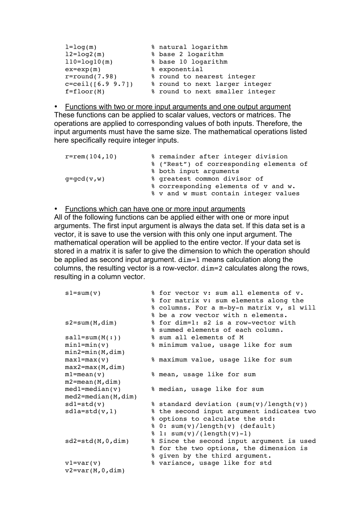| $l = log(m)$          | % natural logarithm             |
|-----------------------|---------------------------------|
| $12 = \log 2(m)$      | % base 2 logarithm              |
| $110 = log 10(m)$     | % base 10 logarithm             |
| $ex=exp(m)$           | % exponential                   |
| $r = round(7.98)$     | % round to nearest integer      |
| $c = ceil([6.9 9.7])$ | % round to next larger integer  |
| $f=floor(M)$          | % round to next smaller integer |

• Functions with two or more input arguments and one output argument These functions can be applied to scalar values, vectors or matrices. The operations are applied to corresponding values of both inputs. Therefore, the input arguments must have the same size. The mathematical operations listed here specifically require integer inputs.

| $r = rem(104, 10)$ | % remainder after integer division      |
|--------------------|-----------------------------------------|
|                    | % ("Rest") of corresponding elements of |
|                    | % both input arguments                  |
| $q = qcd(v,w)$     | % greatest common divisor of            |
|                    | % corresponding elements of v and w.    |
|                    | % v and w must contain integer values   |

#### • Functions which can have one or more input arguments

All of the following functions can be applied either with one or more input arguments. The first input argument is always the data set. If this data set is a vector, it is save to use the version with this only one input argument. The mathematical operation will be applied to the entire vector. If your data set is stored in a matrix it is safer to give the dimension to which the operation should be applied as second input argument. dim=1 means calculation along the columns, the resulting vector is a row-vector. dim=2 calculates along the rows, resulting in a column vector.

| $sl = sum(v)$          | % for vector v: sum all elements of v.<br>% for matrix v: sum elements along the<br>% columns. For a m-by-n matrix v, s1 will<br>% be a row vector with n elements. |
|------------------------|---------------------------------------------------------------------------------------------------------------------------------------------------------------------|
| $s2 = sum(M, dim)$     | % for dim=1: s2 is a row-vector with<br>% summed elements of each column.                                                                                           |
| $sall = sum(M(:))$     | % sum all elements of M                                                                                                                                             |
| $min1 = min(v)$        | % minimum value, usage like for sum                                                                                                                                 |
| $min2 = min(M, dim)$   |                                                                                                                                                                     |
| $max1 = max(v)$        | % maximum value, usage like for sum                                                                                                                                 |
| $max2 = max(M, dim)$   |                                                                                                                                                                     |
| $ml = mean(v)$         | % mean, usage like for sum                                                                                                                                          |
| $m2$ =mean(M,dim)      |                                                                                                                                                                     |
| $med1 = median(v)$     | % median, usage like for sum                                                                                                                                        |
| $med2 = median(M,dim)$ |                                                                                                                                                                     |
| $sd1=std(v)$           | % standard deviation (sum(v)/length(v))                                                                                                                             |
| $sd1a=std(v,1)$        | % the second input argument indicates two                                                                                                                           |
|                        | % options to calculate the std:                                                                                                                                     |
|                        | % 0: sum(v)/length(v) (default)                                                                                                                                     |
|                        | $\frac{1}{2}$ 1: sum(v)/(length(v)-1)                                                                                                                               |
| $sd2 = std(M, 0, dim)$ | % Since the second input argument is used                                                                                                                           |
|                        | % for the two options, the dimension is                                                                                                                             |
|                        | % given by the third argument.                                                                                                                                      |
| $v1 = var(v)$          | % variance, usage like for std                                                                                                                                      |
| $v2 = var(M, 0, dim)$  |                                                                                                                                                                     |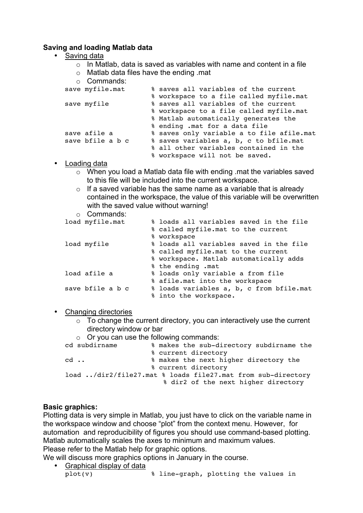## **Saving and loading Matlab data**

- Saving data
	- $\circ$  In Matlab, data is saved as variables with name and content in a file
	- o Matlab data files have the ending .mat
	- o Commands:

| save myfile.mat  | % saves all variables of the current      |  |
|------------------|-------------------------------------------|--|
|                  | % workspace to a file called myfile.mat   |  |
| save myfile      | % saves all variables of the current      |  |
|                  | % workspace to a file called myfile.mat   |  |
|                  | % Matlab automatically generates the      |  |
|                  | % ending .mat for a data file             |  |
| save afile a     | % saves only variable a to file afile.mat |  |
| save bfile a b c | % saves variables a, b, c to bfile.mat    |  |
|                  | % all other variables contained in the    |  |
|                  | % workspace will not be saved.            |  |

- Loading data
	- o When you load a Matlab data file with ending .mat the variables saved to this file will be included into the current workspace.
	- $\circ$  If a saved variable has the same name as a variable that is already contained in the workspace, the value of this variable will be overwritten with the saved value without warning!
	- o Commands:

| load myfile.mat  | % loads all variables saved in the file  |
|------------------|------------------------------------------|
|                  | % called myfile.mat to the current       |
|                  | % workspace                              |
| load myfile      | % loads all variables saved in the file  |
|                  | % called myfile.mat to the current       |
|                  | % workspace. Matlab automatically adds   |
|                  | % the ending .mat                        |
| load afile a     | % loads only variable a from file        |
|                  | % afile.mat into the workspace           |
| save bfile a b c | % loads variables a, b, c from bfile.mat |
|                  | % into the workspace.                    |

• Changing directories

- $\circ$  To change the current directory, you can interactively use the current directory window or bar
- $\circ$  Or you can use the following commands:<br>cd subdirname  $\frac{2}{3}$  makes the sub-di % makes the sub-directory subdirname the % current directory cd ..  $\bullet$  **makes the next higher directory the** % current directory load ../dir2/file27.mat % loads file27.mat from sub-directory % dir2 of the next higher directory

#### **Basic graphics:**

Plotting data is very simple in Matlab, you just have to click on the variable name in the workspace window and choose "plot" from the context menu. However, for automation and reproducibility of figures you should use command-based plotting. Matlab automatically scales the axes to minimum and maximum values. Please refer to the Matlab help for graphic options.

We will discuss more graphics options in January in the course.

• Graphical display of data plot  $(v)$ % line-graph, plotting the values in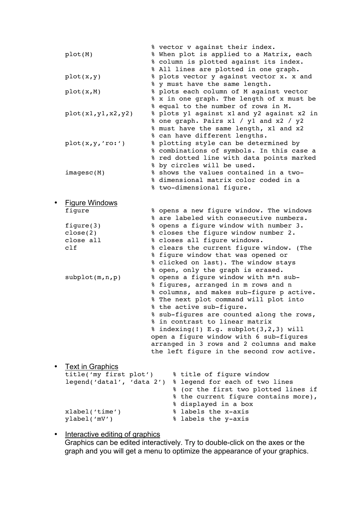|           | plot(M)                   | % vector v against their index.<br>% When plot is applied to a Matrix, each<br>% column is plotted against its index.<br>% All lines are plotted in one graph.  |
|-----------|---------------------------|-----------------------------------------------------------------------------------------------------------------------------------------------------------------|
|           | plot(x, y)                | % plots vector y against vector x. x and<br>% y must have the same length.                                                                                      |
|           | plot(x, M)                | % plots each column of M against vector<br>% x in one graph. The length of x must be<br>% equal to the number of rows in M.                                     |
|           | plot(x1,y1,x2,y2)         | % plots y1 against x1 and y2 against x2 in<br>% one graph. Pairs x1 / y1 and x2 / y2<br>% must have the same length, x1 and x2<br>% can have different lengths. |
|           | plot(x, y, 'ro:')         | % plotting style can be determined by<br>% combinations of symbols. In this case a<br>% red dotted line with data points marked<br>% by circles will be used.   |
|           | imagesc(M)                | % shows the values contained in a two-<br>% dimensional matrix color coded in a<br>% two-dimensional figure.                                                    |
| $\bullet$ | <b>Figure Windows</b>     |                                                                                                                                                                 |
|           | figure                    | % opens a new figure window. The windows<br>% are labeled with consecutive numbers.                                                                             |
|           | figure $(3)$              | % opens a figure window with number 3.                                                                                                                          |
|           | close(2)                  | % closes the figure window number 2.                                                                                                                            |
|           | close all                 | % closes all figure windows.                                                                                                                                    |
|           | c1f                       | % clears the current figure window. (The                                                                                                                        |
|           |                           | % figure window that was opened or                                                                                                                              |
|           |                           | % clicked on last). The window stays                                                                                                                            |
|           | subplot(m,n,p)            | % open, only the graph is erased.<br>% opens a figure window with m*n sub-                                                                                      |
|           |                           | % figures, arranged in m rows and n                                                                                                                             |
|           |                           | % columns, and makes sub-figure p active.                                                                                                                       |
|           |                           | % The next plot command will plot into                                                                                                                          |
|           |                           | % the active sub-figure.                                                                                                                                        |
|           |                           | % sub-figures are counted along the rows,<br>% in contrast to linear matrix                                                                                     |
|           |                           | $%$ indexing(!) E.g. subplot(3,2,3) will                                                                                                                        |
|           |                           | open a figure window with 6 sub-figures                                                                                                                         |
|           |                           | arranged in 3 rows and 2 columns and make<br>the left figure in the second row active.                                                                          |
|           | <b>Text in Graphics</b>   |                                                                                                                                                                 |
|           | title('my first plot')    | % title of figure window                                                                                                                                        |
|           | legend('datal', 'data 2') | % legend for each of two lines                                                                                                                                  |
|           |                           | % (or the first two plotted lines if                                                                                                                            |
|           |                           | % the current figure contains more),<br>% displayed in a box                                                                                                    |
|           | xlabel('time')            | % labels the x-axis                                                                                                                                             |

#### • Interactive editing of graphics Graphics can be edited interactively. Try to double-click on the axes or the graph and you will get a menu to optimize the appearance of your graphics.

ylabel('mV') % labels the y-axis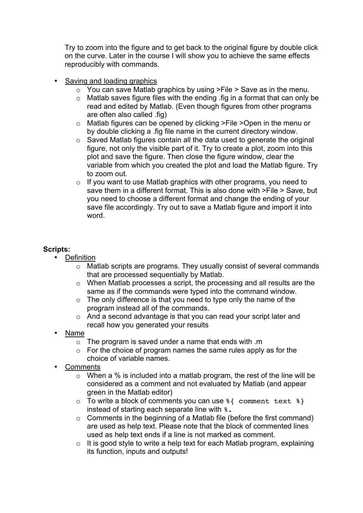Try to zoom into the figure and to get back to the original figure by double click on the curve. Later in the course I will show you to achieve the same effects reproducibly with commands.

- Saving and loading graphics
	- $\circ$  You can save Matlab graphics by using >File > Save as in the menu.
	- o Matlab saves figure files with the ending .fig in a format that can only be read and edited by Matlab. (Even though figures from other programs are often also called .fig)
	- o Matlab figures can be opened by clicking >File >Open in the menu or by double clicking a .fig file name in the current directory window.
	- o Saved Matlab figures contain all the data used to generate the original figure, not only the visible part of it. Try to create a plot, zoom into this plot and save the figure. Then close the figure window, clear the variable from which you created the plot and load the Matlab figure. Try to zoom out.
	- $\circ$  If you want to use Matlab graphics with other programs, you need to save them in a different format. This is also done with >File > Save, but you need to choose a different format and change the ending of your save file accordingly. Try out to save a Matlab figure and import it into word.

## **Scripts:**

- **Definition** 
	- o Matlab scripts are programs. They usually consist of several commands that are processed sequentially by Matlab.
	- o When Matlab processes a script, the processing and all results are the same as if the commands were typed into the command window.
	- $\circ$  The only difference is that you need to type only the name of the program instead all of the commands.
	- o And a second advantage is that you can read your script later and recall how you generated your results
- Name
	- $\circ$  The program is saved under a name that ends with  $\cdot$ m
	- $\circ$  For the choice of program names the same rules apply as for the choice of variable names.
- **Comments** 
	- $\circ$  When a % is included into a matlab program, the rest of the line will be considered as a comment and not evaluated by Matlab (and appear green in the Matlab editor)
	- $\circ$  To write a block of comments you can use  $\frac{1}{2}$  comment text  $\frac{1}{2}$ instead of starting each separate line with  $\epsilon$ .
	- $\circ$  Comments in the beginning of a Matlab file (before the first command) are used as help text. Please note that the block of commented lines used as help text ends if a line is not marked as comment.
	- $\circ$  It is good style to write a help text for each Matlab program, explaining its function, inputs and outputs!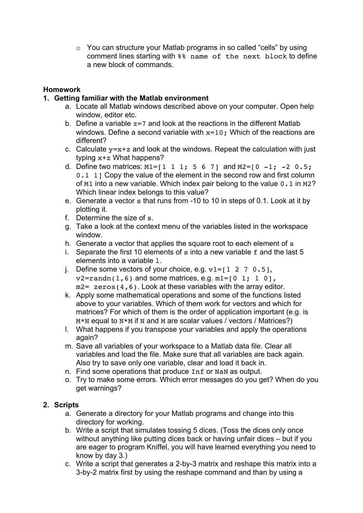o You can structure your Matlab programs in so called "cells" by using comment lines starting with %% name of the next block to define a new block of commands.

# **Homework**

# **1. Getting familiar with the Matlab environment**

- a. Locate all Matlab windows described above on your computer. Open help window, editor etc.
- b. Define a variable  $z=7$  and look at the reactions in the different Matlab windows. Define a second variable with  $x=10$ ; Which of the reactions are different?
- c. Calculate  $y=x+z$  and look at the windows. Repeat the calculation with just typing x+z What happens?
- d. Define two matrices:  $M1 = [1 \ 1 \ 1; \ 5 \ 6 \ 7]$  and  $M2 = [0 \ -1; \ -2 \ 0.5;$ 0.1 1] Copy the value of the element in the second row and first column of M1 into a new variable. Which index pair belong to the value 0.1 in M2? Which linear index belongs to this value?
- e. Generate a vector s that runs from -10 to 10 in steps of 0.1. Look at it by plotting it.
- f. Determine the size of s.
- g. Take a look at the context menu of the variables listed in the workspace window.
- h. Generate a vector that applies the square root to each element of s
- i. Separate the first 10 elements of s into a new variable f and the last 5 elements into a variable l.
- j. Define some vectors of your choice, e.g.  $v1 = [1 \ 2 \ 7 \ 0.5]$ ,  $v2 = randn(1, 6)$  and some matrices, e.g.  $m1 = [0 \ 1; 1 \ 0],$  $m2 =$  zeros(4,6). Look at these variables with the array editor.
- k. Apply some mathematical operations and some of the functions listed above to your variables. Which of them work for vectors and which for matrices? For which of them is the order of application important (e.g. is M\*N equal to N\*M if N and M are scalar values / vectors / Matrices?)
- l. What happens if you transpose your variables and apply the operations again?
- m. Save all variables of your workspace to a Matlab data file. Clear all variables and load the file. Make sure that all variables are back again. Also try to save only one variable, clear and load it back in.
- n. Find some operations that produce Inf or NaN as output.
- o. Try to make some errors. Which error messages do you get? When do you get warnings?

# **2. Scripts**

- a. Generate a directory for your Matlab programs and change into this directory for working.
- b. Write a script that simulates tossing 5 dices. (Toss the dices only once without anything like putting dices back or having unfair dices – but if you are eager to program Kniffel, you will have learned everything you need to know by day 3.)
- c. Write a script that generates a 2-by-3 matrix and reshape this matrix into a 3-by-2 matrix first by using the reshape command and than by using a